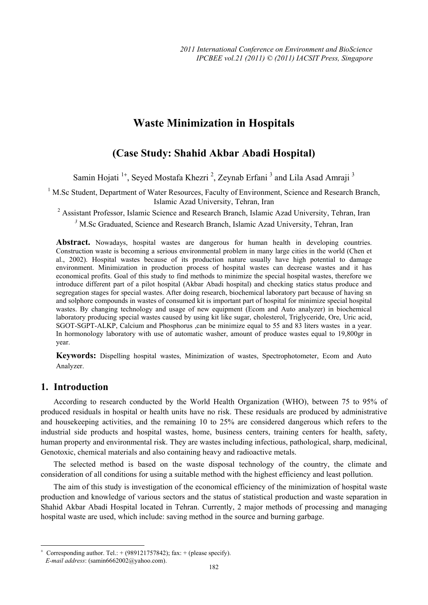# **Waste Minimization in Hospitals**

# **(Case Study: Shahid Akbar Abadi Hospital)**

Samin Hojati <sup>1+</sup>, Seyed Mostafa Khezri<sup>2</sup>, Zeynab Erfani<sup>3</sup> and Lila Asad Amraji<sup>3</sup>

<sup>1</sup> M.Sc Student, Department of Water Resources, Faculty of Environment, Science and Research Branch, Islamic Azad University, Tehran, Iran

<sup>2</sup> Assistant Professor, Islamic Science and Research Branch, Islamic Azad University, Tehran, Iran *<sup>3</sup>* M.Sc Graduated, Science and Research Branch, Islamic Azad University, Tehran, Iran

Abstract. Nowadays, hospital wastes are dangerous for human health in developing countries. Construction waste is becoming a serious environmental problem in many large cities in the world (Chen et al., 2002). Hospital wastes because of its production nature usually have high potential to damage environment. Minimization in production process of hospital wastes can decrease wastes and it has economical profits. Goal of this study to find methods to minimize the special hospital wastes, therefore we introduce different part of a pilot hospital (Akbar Abadi hospital) and checking statics status produce and segregation stages for special wastes. After doing research, biochemical laboratory part because of having sn and solphore compounds in wastes of consumed kit is important part of hospital for minimize special hospital wastes. By changing technology and usage of new equipment (Ecom and Auto analyzer) in biochemical laboratory producing special wastes caused by using kit like sugar, cholesterol, Triglyceride, Ore, Uric acid, SGOT-SGPT-ALKP, Calcium and Phosphorus ,can be minimize equal to 55 and 83 liters wastes in a year. In hormonology laboratory with use of automatic washer, amount of produce wastes equal to 19,800gr in year.

**Keywords:** Dispelling hospital wastes, Minimization of wastes, Spectrophotometer, Ecom and Auto Analyzer.

## **1. Introduction**

 $\overline{a}$ 

According to research conducted by the World Health Organization (WHO), between 75 to 95% of produced residuals in hospital or health units have no risk. These residuals are produced by administrative and housekeeping activities, and the remaining 10 to 25% are considered dangerous which refers to the industrial side products and hospital wastes, home, business centers, training centers for health, safety, human property and environmental risk. They are wastes including infectious, pathological, sharp, medicinal, Genotoxic, chemical materials and also containing heavy and radioactive metals.

The selected method is based on the waste disposal technology of the country, the climate and consideration of all conditions for using a suitable method with the highest efficiency and least pollution.

The aim of this study is investigation of the economical efficiency of the minimization of hospital waste production and knowledge of various sectors and the status of statistical production and waste separation in Shahid Akbar Abadi Hospital located in Tehran. Currently, 2 major methods of processing and managing hospital waste are used, which include: saving method in the source and burning garbage.

<sup>+</sup> Corresponding author. Tel.:  $+(989121757842)$ ; fax:  $+($ please specify). *E-mail address*: (samin6662002@yahoo.com).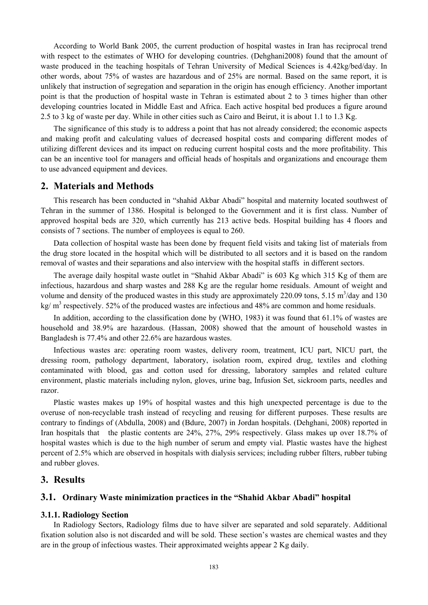According to World Bank 2005, the current production of hospital wastes in Iran has reciprocal trend with respect to the estimates of WHO for developing countries. (Dehghani2008) found that the amount of waste produced in the teaching hospitals of Tehran University of Medical Sciences is 4.42kg/bed/day. In other words, about 75% of wastes are hazardous and of 25% are normal. Based on the same report, it is unlikely that instruction of segregation and separation in the origin has enough efficiency. Another important point is that the production of hospital waste in Tehran is estimated about 2 to 3 times higher than other developing countries located in Middle East and Africa. Each active hospital bed produces a figure around 2.5 to 3 kg of waste per day. While in other cities such as Cairo and Beirut, it is about 1.1 to 1.3 Kg.

The significance of this study is to address a point that has not already considered; the economic aspects and making profit and calculating values of decreased hospital costs and comparing different modes of utilizing different devices and its impact on reducing current hospital costs and the more profitability. This can be an incentive tool for managers and official heads of hospitals and organizations and encourage them to use advanced equipment and devices.

## **2. Materials and Methods**

This research has been conducted in "shahid Akbar Abadi" hospital and maternity located southwest of Tehran in the summer of 1386. Hospital is belonged to the Government and it is first class. Number of approved hospital beds are 320, which currently has 213 active beds. Hospital building has 4 floors and consists of 7 sections. The number of employees is equal to 260.

Data collection of hospital waste has been done by frequent field visits and taking list of materials from the drug store located in the hospital which will be distributed to all sectors and it is based on the random removal of wastes and their separations and also interview with the hospital staffs in different sectors.

The average daily hospital waste outlet in "Shahid Akbar Abadi" is 603 Kg which 315 Kg of them are infectious, hazardous and sharp wastes and 288 Kg are the regular home residuals. Amount of weight and volume and density of the produced wastes in this study are approximately 220.09 tons, 5.15  $\text{m}^3/\text{day}$  and 130 kg/  $m<sup>3</sup>$  respectively. 52% of the produced wastes are infectious and 48% are common and home residuals.

In addition, according to the classification done by (WHO, 1983) it was found that 61.1% of wastes are household and 38.9% are hazardous. (Hassan, 2008) showed that the amount of household wastes in Bangladesh is 77.4% and other 22.6% are hazardous wastes.

Infectious wastes are: operating room wastes, delivery room, treatment, ICU part, NICU part, the dressing room, pathology department, laboratory, isolation room, expired drug, textiles and clothing contaminated with blood, gas and cotton used for dressing, laboratory samples and related culture environment, plastic materials including nylon, gloves, urine bag, Infusion Set, sickroom parts, needles and razor.

Plastic wastes makes up 19% of hospital wastes and this high unexpected percentage is due to the overuse of non-recyclable trash instead of recycling and reusing for different purposes. These results are contrary to findings of (Abdulla, 2008) and (Bdure, 2007) in Jordan hospitals. (Dehghani, 2008) reported in Iran hospitals that the plastic contents are 24%, 27%, 29% respectively. Glass makes up over 18.7% of hospital wastes which is due to the high number of serum and empty vial. Plastic wastes have the highest percent of 2.5% which are observed in hospitals with dialysis services; including rubber filters, rubber tubing and rubber gloves.

## **3. Results**

#### **3.1. Ordinary Waste minimization practices in the "Shahid Akbar Abadi" hospital**

#### **3.1.1. Radiology Section**

In Radiology Sectors, Radiology films due to have silver are separated and sold separately. Additional fixation solution also is not discarded and will be sold. These section's wastes are chemical wastes and they are in the group of infectious wastes. Their approximated weights appear 2 Kg daily.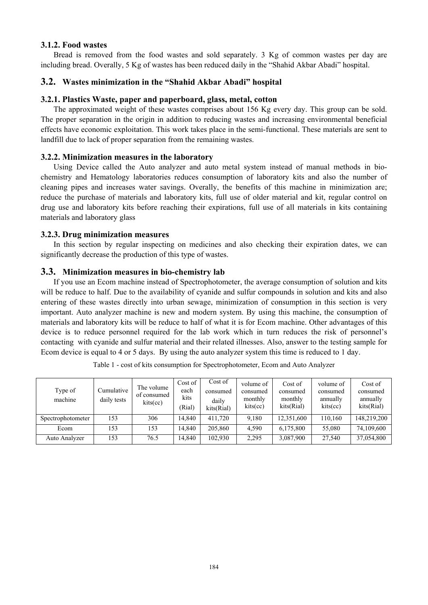### **3.1.2. Food wastes**

Bread is removed from the food wastes and sold separately. 3 Kg of common wastes per day are including bread. Overally, 5 Kg of wastes has been reduced daily in the "Shahid Akbar Abadi" hospital.

## **3.2. Wastes minimization in the "Shahid Akbar Abadi" hospital**

## **3.2.1. Plastics Waste, paper and paperboard, glass, metal, cotton**

The approximated weight of these wastes comprises about 156 Kg every day. This group can be sold. The proper separation in the origin in addition to reducing wastes and increasing environmental beneficial effects have economic exploitation. This work takes place in the semi-functional. These materials are sent to landfill due to lack of proper separation from the remaining wastes.

### **3.2.2. Minimization measures in the laboratory**

Using Device called the Auto analyzer and auto metal system instead of manual methods in biochemistry and Hematology laboratories reduces consumption of laboratory kits and also the number of cleaning pipes and increases water savings. Overally, the benefits of this machine in minimization are; reduce the purchase of materials and laboratory kits, full use of older material and kit, regular control on drug use and laboratory kits before reaching their expirations, full use of all materials in kits containing materials and laboratory glass

### **3.2.3. Drug minimization measures**

In this section by regular inspecting on medicines and also checking their expiration dates, we can significantly decrease the production of this type of wastes.

#### **3.3. Minimization measures in bio-chemistry lab**

If you use an Ecom machine instead of Spectrophotometer, the average consumption of solution and kits will be reduce to half. Due to the availability of cyanide and sulfur compounds in solution and kits and also entering of these wastes directly into urban sewage, minimization of consumption in this section is very important. Auto analyzer machine is new and modern system. By using this machine, the consumption of materials and laboratory kits will be reduce to half of what it is for Ecom machine. Other advantages of this device is to reduce personnel required for the lab work which in turn reduces the risk of personnel's contacting with cyanide and sulfur material and their related illnesses. Also, answer to the testing sample for Ecom device is equal to 4 or 5 days. By using the auto analyzer system this time is reduced to 1 day.

| Type of<br>machine | Cumulative<br>daily tests | The volume<br>of consumed<br>kits(cc) | Cost of<br>each<br>kits<br>(Rial) | Cost of<br>consumed<br>daily<br>kits(Rial) | volume of<br>consumed<br>monthly<br>kits(cc) | Cost of<br>consumed<br>monthly<br>kits(Rial) | volume of<br>consumed<br>annually<br>kits(cc) | Cost of<br>consumed<br>annually<br>kits(Rial) |
|--------------------|---------------------------|---------------------------------------|-----------------------------------|--------------------------------------------|----------------------------------------------|----------------------------------------------|-----------------------------------------------|-----------------------------------------------|
| Spectrophotometer  | 153                       | 306                                   | 14.840                            | 411.720                                    | 9,180                                        | 12,351,600                                   | 110,160                                       | 148,219,200                                   |
| Ecom               | 153                       | 153                                   | 14.840                            | 205,860                                    | 4,590                                        | 6,175,800                                    | 55.080                                        | 74,109,600                                    |
| Auto Analyzer      | 153                       | 76.5                                  | 14,840                            | 102,930                                    | 2,295                                        | 3,087,900                                    | 27,540                                        | 37,054,800                                    |

Table 1 - cost of kits consumption for Spectrophotometer, Ecom and Auto Analyzer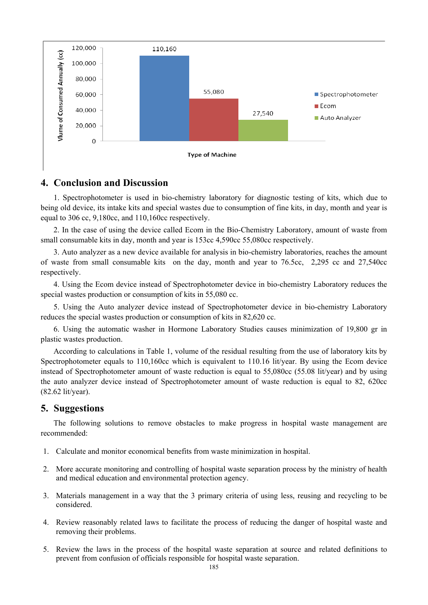

# **4. Conclusion and Discussion**

1. Spectrophotometer is used in bio-chemistry laboratory for diagnostic testing of kits, which due to being old device, its intake kits and special wastes due to consumption of fine kits, in day, month and year is equal to 306 cc, 9,180cc, and 110,160cc respectively.

2. In the case of using the device called Ecom in the Bio-Chemistry Laboratory, amount of waste from small consumable kits in day, month and year is 153cc 4,590cc 55,080cc respectively.

3. Auto analyzer as a new device available for analysis in bio-chemistry laboratories, reaches the amount of waste from small consumable kits on the day, month and year to 76.5cc, 2,295 cc and 27,540cc respectively.

4. Using the Ecom device instead of Spectrophotometer device in bio-chemistry Laboratory reduces the special wastes production or consumption of kits in 55,080 cc.

5. Using the Auto analyzer device instead of Spectrophotometer device in bio-chemistry Laboratory reduces the special wastes production or consumption of kits in 82,620 cc.

6. Using the automatic washer in Hormone Laboratory Studies causes minimization of 19,800 gr in plastic wastes production.

According to calculations in Table 1, volume of the residual resulting from the use of laboratory kits by Spectrophotometer equals to 110,160cc which is equivalent to 110.16 lit/year. By using the Ecom device instead of Spectrophotometer amount of waste reduction is equal to 55,080cc (55.08 lit/year) and by using the auto analyzer device instead of Spectrophotometer amount of waste reduction is equal to 82, 620cc (82.62 lit/year).

# **5. Suggestions**

The following solutions to remove obstacles to make progress in hospital waste management are recommended:

- 1. Calculate and monitor economical benefits from waste minimization in hospital.
- 2. More accurate monitoring and controlling of hospital waste separation process by the ministry of health and medical education and environmental protection agency.
- 3. Materials management in a way that the 3 primary criteria of using less, reusing and recycling to be considered.
- 4. Review reasonably related laws to facilitate the process of reducing the danger of hospital waste and removing their problems.
- 5. Review the laws in the process of the hospital waste separation at source and related definitions to prevent from confusion of officials responsible for hospital waste separation.